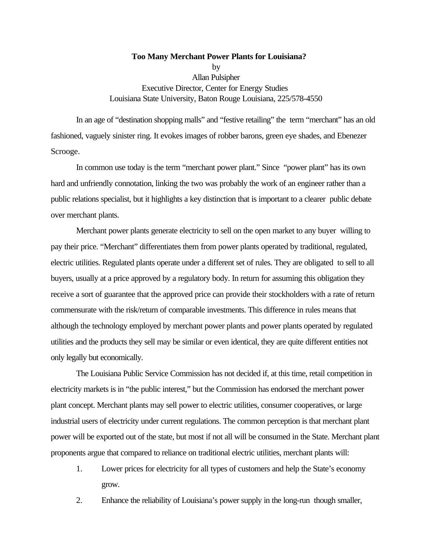# **Too Many Merchant Power Plants for Louisiana?** by Allan Pulsipher Executive Director, Center for Energy Studies Louisiana State University, Baton Rouge Louisiana, 225/578-4550

In an age of "destination shopping malls" and "festive retailing" the term "merchant" has an old fashioned, vaguely sinister ring. It evokes images of robber barons, green eye shades, and Ebenezer Scrooge.

In common use today is the term "merchant power plant." Since "power plant" has its own hard and unfriendly connotation, linking the two was probably the work of an engineer rather than a public relations specialist, but it highlights a key distinction that is important to a clearer public debate over merchant plants.

Merchant power plants generate electricity to sell on the open market to any buyer willing to pay their price. "Merchant" differentiates them from power plants operated by traditional, regulated, electric utilities. Regulated plants operate under a different set of rules. They are obligated to sell to all buyers, usually at a price approved by a regulatory body. In return for assuming this obligation they receive a sort of guarantee that the approved price can provide their stockholders with a rate of return commensurate with the risk/return of comparable investments. This difference in rules means that although the technology employed by merchant power plants and power plants operated by regulated utilities and the products they sell may be similar or even identical, they are quite different entities not only legally but economically.

The Louisiana Public Service Commission has not decided if, at this time, retail competition in electricity markets is in "the public interest," but the Commission has endorsed the merchant power plant concept. Merchant plants may sell power to electric utilities, consumer cooperatives, or large industrial users of electricity under current regulations. The common perception is that merchant plant power will be exported out of the state, but most if not all will be consumed in the State. Merchant plant proponents argue that compared to reliance on traditional electric utilities, merchant plants will:

- 1. Lower prices for electricity for all types of customers and help the State's economy grow.
- 2. Enhance the reliability of Louisiana's power supply in the long-run though smaller,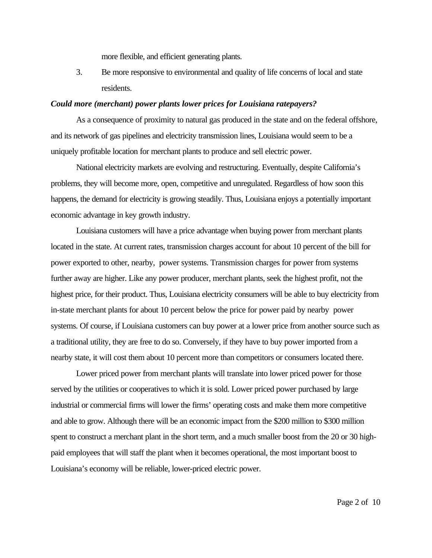more flexible, and efficient generating plants.

3. Be more responsive to environmental and quality of life concerns of local and state residents.

### *Could more (merchant) power plants lower prices for Louisiana ratepayers?*

As a consequence of proximity to natural gas produced in the state and on the federal offshore, and its network of gas pipelines and electricity transmission lines, Louisiana would seem to be a uniquely profitable location for merchant plants to produce and sell electric power.

National electricity markets are evolving and restructuring. Eventually, despite California's problems, they will become more, open, competitive and unregulated. Regardless of how soon this happens, the demand for electricity is growing steadily. Thus, Louisiana enjoys a potentially important economic advantage in key growth industry.

Louisiana customers will have a price advantage when buying power from merchant plants located in the state. At current rates, transmission charges account for about 10 percent of the bill for power exported to other, nearby, power systems. Transmission charges for power from systems further away are higher. Like any power producer, merchant plants, seek the highest profit, not the highest price, for their product. Thus, Louisiana electricity consumers will be able to buy electricity from in-state merchant plants for about 10 percent below the price for power paid by nearby power systems. Of course, if Louisiana customers can buy power at a lower price from another source such as a traditional utility, they are free to do so. Conversely, if they have to buy power imported from a nearby state, it will cost them about 10 percent more than competitors or consumers located there.

Lower priced power from merchant plants will translate into lower priced power for those served by the utilities or cooperatives to which it is sold. Lower priced power purchased by large industrial or commercial firms will lower the firms' operating costs and make them more competitive and able to grow. Although there will be an economic impact from the \$200 million to \$300 million spent to construct a merchant plant in the short term, and a much smaller boost from the 20 or 30 highpaid employees that will staff the plant when it becomes operational, the most important boost to Louisiana's economy will be reliable, lower-priced electric power.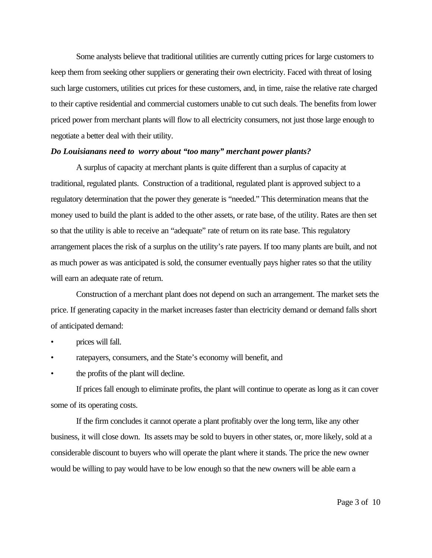Some analysts believe that traditional utilities are currently cutting prices for large customers to keep them from seeking other suppliers or generating their own electricity. Faced with threat of losing such large customers, utilities cut prices for these customers, and, in time, raise the relative rate charged to their captive residential and commercial customers unable to cut such deals. The benefits from lower priced power from merchant plants will flow to all electricity consumers, not just those large enough to negotiate a better deal with their utility.

### *Do Louisianans need to worry about "too many" merchant power plants?*

A surplus of capacity at merchant plants is quite different than a surplus of capacity at traditional, regulated plants. Construction of a traditional, regulated plant is approved subject to a regulatory determination that the power they generate is "needed." This determination means that the money used to build the plant is added to the other assets, or rate base, of the utility. Rates are then set so that the utility is able to receive an "adequate" rate of return on its rate base. This regulatory arrangement places the risk of a surplus on the utility's rate payers. If too many plants are built, and not as much power as was anticipated is sold, the consumer eventually pays higher rates so that the utility will earn an adequate rate of return.

Construction of a merchant plant does not depend on such an arrangement. The market sets the price. If generating capacity in the market increases faster than electricity demand or demand falls short of anticipated demand:

- prices will fall.
- ratepayers, consumers, and the State's economy will benefit, and
- the profits of the plant will decline.

If prices fall enough to eliminate profits, the plant will continue to operate as long as it can cover some of its operating costs.

If the firm concludes it cannot operate a plant profitably over the long term, like any other business, it will close down. Its assets may be sold to buyers in other states, or, more likely, sold at a considerable discount to buyers who will operate the plant where it stands. The price the new owner would be willing to pay would have to be low enough so that the new owners will be able earn a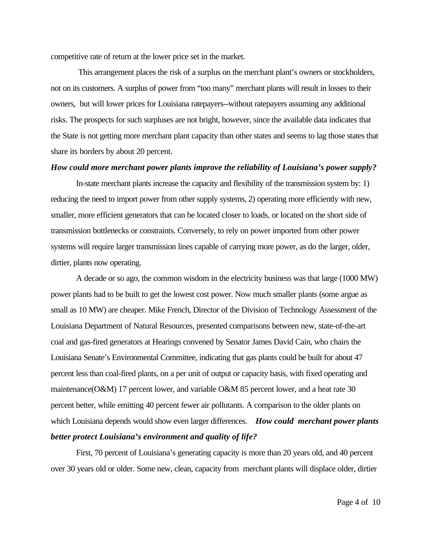competitive rate of return at the lower price set in the market.

 This arrangement places the risk of a surplus on the merchant plant's owners or stockholders, not on its customers. A surplus of power from "too many" merchant plants will result in losses to their owners, but will lower prices for Louisiana ratepayers--without ratepayers assuming any additional risks. The prospects for such surpluses are not bright, however, since the available data indicates that the State is not getting more merchant plant capacity than other states and seems to lag those states that share its borders by about 20 percent.

## *How could more merchant power plants improve the reliability of Louisiana's power supply?*

In-state merchant plants increase the capacity and flexibility of the transmission system by: 1) reducing the need to import power from other supply systems, 2) operating more efficiently with new, smaller, more efficient generators that can be located closer to loads, or located on the short side of transmission bottlenecks or constraints. Conversely, to rely on power imported from other power systems will require larger transmission lines capable of carrying more power, as do the larger, older, dirtier, plants now operating.

A decade or so ago, the common wisdom in the electricity business was that large (1000 MW) power plants had to be built to get the lowest cost power. Now much smaller plants (some argue as small as 10 MW) are cheaper. Mike French, Director of the Division of Technology Assessment of the Louisiana Department of Natural Resources, presented comparisons between new, state-of-the-art coal and gas-fired generators at Hearings convened by Senator James David Cain, who chairs the Louisiana Senate's Environmental Committee, indicating that gas plants could be built for about 47 percent less than coal-fired plants, on a per unit of output or capacity basis, with fixed operating and maintenance(O&M) 17 percent lower, and variable O&M 85 percent lower, and a heat rate 30 percent better, while emitting 40 percent fewer air pollutants. A comparison to the older plants on which Louisiana depends would show even larger differences. *How could merchant power plants better protect Louisiana's environment and quality of life?*

First, 70 percent of Louisiana's generating capacity is more than 20 years old, and 40 percent over 30 years old or older. Some new, clean, capacity from merchant plants will displace older, dirtier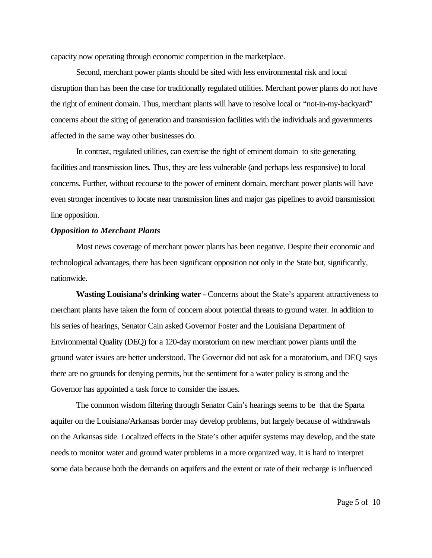capacity now operating through economic competition in the marketplace.

Second, merchant power plants should be sited with less environmental risk and local disruption than has been the case for traditionally regulated utilities. Merchant power plants do not have the right of eminent domain. Thus, merchant plants will have to resolve local or "not-in-my-backyard" concerns about the siting of generation and transmission facilities with the individuals and governments affected in the same way other businesses do.

In contrast, regulated utilities, can exercise the right of eminent domain to site generating facilities and transmission lines. Thus, they are less vulnerable (and perhaps less responsive) to local concerns. Further, without recourse to the power of eminent domain, merchant power plants will have even stronger incentives to locate near transmission lines and major gas pipelines to avoid transmission line opposition.

#### *Opposition to Merchant Plants*

Most news coverage of merchant power plants has been negative. Despite their economic and technological advantages, there has been significant opposition not only in the State but, significantly, nationwide.

**Wasting Louisiana's drinking water -** Concerns about the State's apparent attractiveness to merchant plants have taken the form of concern about potential threats to ground water. In addition to his series of hearings, Senator Cain asked Governor Foster and the Louisiana Department of Environmental Quality (DEQ) for a 120-day moratorium on new merchant power plants until the ground water issues are better understood. The Governor did not ask for a moratorium, and DEQ says there are no grounds for denying permits, but the sentiment for a water policy is strong and the Governor has appointed a task force to consider the issues.

The common wisdom filtering through Senator Cain's hearings seems to be that the Sparta aquifer on the Louisiana/Arkansas border may develop problems, but largely because of withdrawals on the Arkansas side. Localized effects in the State's other aquifer systems may develop, and the state needs to monitor water and ground water problems in a more organized way. It is hard to interpret some data because both the demands on aquifers and the extent or rate of their recharge is influenced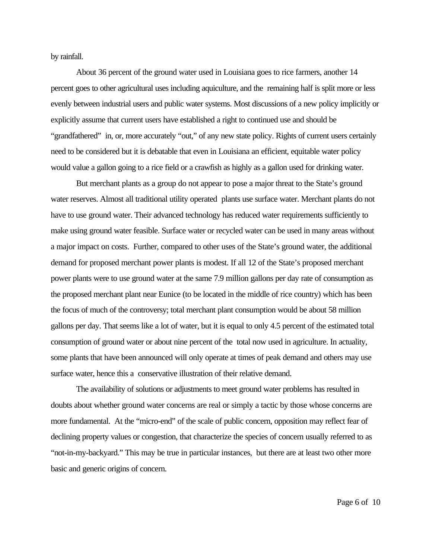by rainfall.

About 36 percent of the ground water used in Louisiana goes to rice farmers, another 14 percent goes to other agricultural uses including aquiculture, and the remaining half is split more or less evenly between industrial users and public water systems. Most discussions of a new policy implicitly or explicitly assume that current users have established a right to continued use and should be "grandfathered" in, or, more accurately "out," of any new state policy. Rights of current users certainly need to be considered but it is debatable that even in Louisiana an efficient, equitable water policy would value a gallon going to a rice field or a crawfish as highly as a gallon used for drinking water.

But merchant plants as a group do not appear to pose a major threat to the State's ground water reserves. Almost all traditional utility operated plants use surface water. Merchant plants do not have to use ground water. Their advanced technology has reduced water requirements sufficiently to make using ground water feasible. Surface water or recycled water can be used in many areas without a major impact on costs. Further, compared to other uses of the State's ground water, the additional demand for proposed merchant power plants is modest. If all 12 of the State's proposed merchant power plants were to use ground water at the same 7.9 million gallons per day rate of consumption as the proposed merchant plant near Eunice (to be located in the middle of rice country) which has been the focus of much of the controversy; total merchant plant consumption would be about 58 million gallons per day. That seems like a lot of water, but it is equal to only 4.5 percent of the estimated total consumption of ground water or about nine percent of the total now used in agriculture. In actuality, some plants that have been announced will only operate at times of peak demand and others may use surface water, hence this a conservative illustration of their relative demand.

The availability of solutions or adjustments to meet ground water problems has resulted in doubts about whether ground water concerns are real or simply a tactic by those whose concerns are more fundamental. At the "micro-end" of the scale of public concern, opposition may reflect fear of declining property values or congestion, that characterize the species of concern usually referred to as "not-in-my-backyard." This may be true in particular instances, but there are at least two other more basic and generic origins of concern.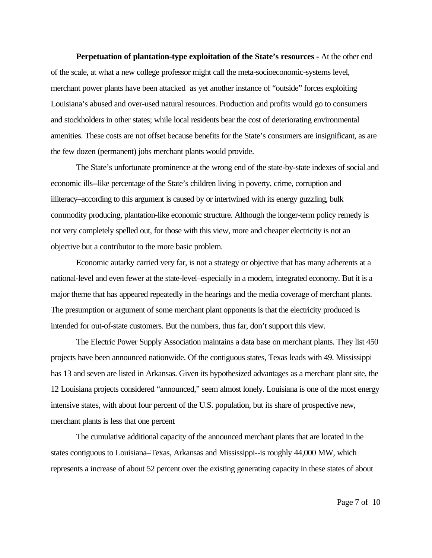**Perpetuation of plantation-type exploitation of the State's resources -** At the other end of the scale, at what a new college professor might call the meta-socioeconomic-systems level, merchant power plants have been attacked as yet another instance of "outside" forces exploiting Louisiana's abused and over-used natural resources. Production and profits would go to consumers and stockholders in other states; while local residents bear the cost of deteriorating environmental amenities. These costs are not offset because benefits for the State's consumers are insignificant, as are the few dozen (permanent) jobs merchant plants would provide.

The State's unfortunate prominence at the wrong end of the state-by-state indexes of social and economic ills--like percentage of the State's children living in poverty, crime, corruption and illiteracy–according to this argument is caused by or intertwined with its energy guzzling, bulk commodity producing, plantation-like economic structure. Although the longer-term policy remedy is not very completely spelled out, for those with this view, more and cheaper electricity is not an objective but a contributor to the more basic problem.

Economic autarky carried very far, is not a strategy or objective that has many adherents at a national-level and even fewer at the state-level–especially in a modern, integrated economy. But it is a major theme that has appeared repeatedly in the hearings and the media coverage of merchant plants. The presumption or argument of some merchant plant opponents is that the electricity produced is intended for out-of-state customers. But the numbers, thus far, don't support this view.

The Electric Power Supply Association maintains a data base on merchant plants. They list 450 projects have been announced nationwide. Of the contiguous states, Texas leads with 49. Mississippi has 13 and seven are listed in Arkansas. Given its hypothesized advantages as a merchant plant site, the 12 Louisiana projects considered "announced," seem almost lonely. Louisiana is one of the most energy intensive states, with about four percent of the U.S. population, but its share of prospective new, merchant plants is less that one percent

The cumulative additional capacity of the announced merchant plants that are located in the states contiguous to Louisiana–Texas, Arkansas and Mississippi--is roughly 44,000 MW, which represents a increase of about 52 percent over the existing generating capacity in these states of about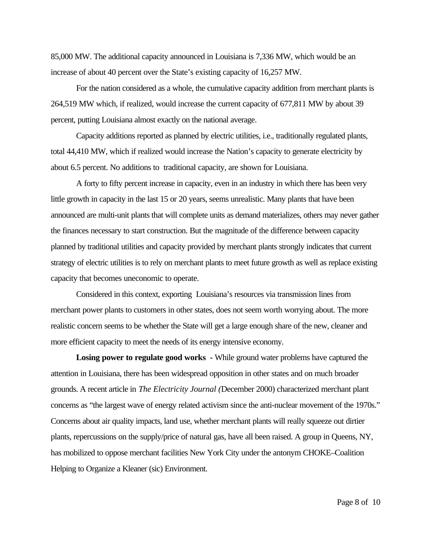85,000 MW. The additional capacity announced in Louisiana is 7,336 MW, which would be an increase of about 40 percent over the State's existing capacity of 16,257 MW.

For the nation considered as a whole, the cumulative capacity addition from merchant plants is 264,519 MW which, if realized, would increase the current capacity of 677,811 MW by about 39 percent, putting Louisiana almost exactly on the national average.

Capacity additions reported as planned by electric utilities, i.e., traditionally regulated plants, total 44,410 MW, which if realized would increase the Nation's capacity to generate electricity by about 6.5 percent. No additions to traditional capacity, are shown for Louisiana.

A forty to fifty percent increase in capacity, even in an industry in which there has been very little growth in capacity in the last 15 or 20 years, seems unrealistic. Many plants that have been announced are multi-unit plants that will complete units as demand materializes, others may never gather the finances necessary to start construction. But the magnitude of the difference between capacity planned by traditional utilities and capacity provided by merchant plants strongly indicates that current strategy of electric utilities is to rely on merchant plants to meet future growth as well as replace existing capacity that becomes uneconomic to operate.

Considered in this context, exporting Louisiana's resources via transmission lines from merchant power plants to customers in other states, does not seem worth worrying about. The more realistic concern seems to be whether the State will get a large enough share of the new, cleaner and more efficient capacity to meet the needs of its energy intensive economy.

**Losing power to regulate good works -** While ground water problems have captured the attention in Louisiana, there has been widespread opposition in other states and on much broader grounds. A recent article in *The Electricity Journal (*December 2000) characterized merchant plant concerns as "the largest wave of energy related activism since the anti-nuclear movement of the 1970s." Concerns about air quality impacts, land use, whether merchant plants will really squeeze out dirtier plants, repercussions on the supply/price of natural gas, have all been raised. A group in Queens, NY, has mobilized to oppose merchant facilities New York City under the antonym CHOKE–Coalition Helping to Organize a Kleaner (sic) Environment.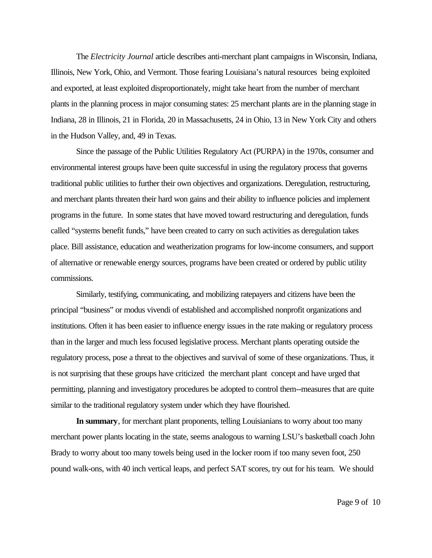The *Electricity Journal* article describes anti-merchant plant campaigns in Wisconsin, Indiana, Illinois, New York, Ohio, and Vermont. Those fearing Louisiana's natural resources being exploited and exported, at least exploited disproportionately, might take heart from the number of merchant plants in the planning process in major consuming states: 25 merchant plants are in the planning stage in Indiana, 28 in Illinois, 21 in Florida, 20 in Massachusetts, 24 in Ohio, 13 in New York City and others in the Hudson Valley, and, 49 in Texas.

Since the passage of the Public Utilities Regulatory Act (PURPA) in the 1970s, consumer and environmental interest groups have been quite successful in using the regulatory process that governs traditional public utilities to further their own objectives and organizations. Deregulation, restructuring, and merchant plants threaten their hard won gains and their ability to influence policies and implement programs in the future. In some states that have moved toward restructuring and deregulation, funds called "systems benefit funds," have been created to carry on such activities as deregulation takes place. Bill assistance, education and weatherization programs for low-income consumers, and support of alternative or renewable energy sources, programs have been created or ordered by public utility commissions.

Similarly, testifying, communicating, and mobilizing ratepayers and citizens have been the principal "business" or modus vivendi of established and accomplished nonprofit organizations and institutions. Often it has been easier to influence energy issues in the rate making or regulatory process than in the larger and much less focused legislative process. Merchant plants operating outside the regulatory process, pose a threat to the objectives and survival of some of these organizations. Thus, it is not surprising that these groups have criticized the merchant plant concept and have urged that permitting, planning and investigatory procedures be adopted to control them--measures that are quite similar to the traditional regulatory system under which they have flourished.

**In summary**, for merchant plant proponents, telling Louisianians to worry about too many merchant power plants locating in the state, seems analogous to warning LSU's basketball coach John Brady to worry about too many towels being used in the locker room if too many seven foot, 250 pound walk-ons, with 40 inch vertical leaps, and perfect SAT scores, try out for his team. We should

Page 9 of 10